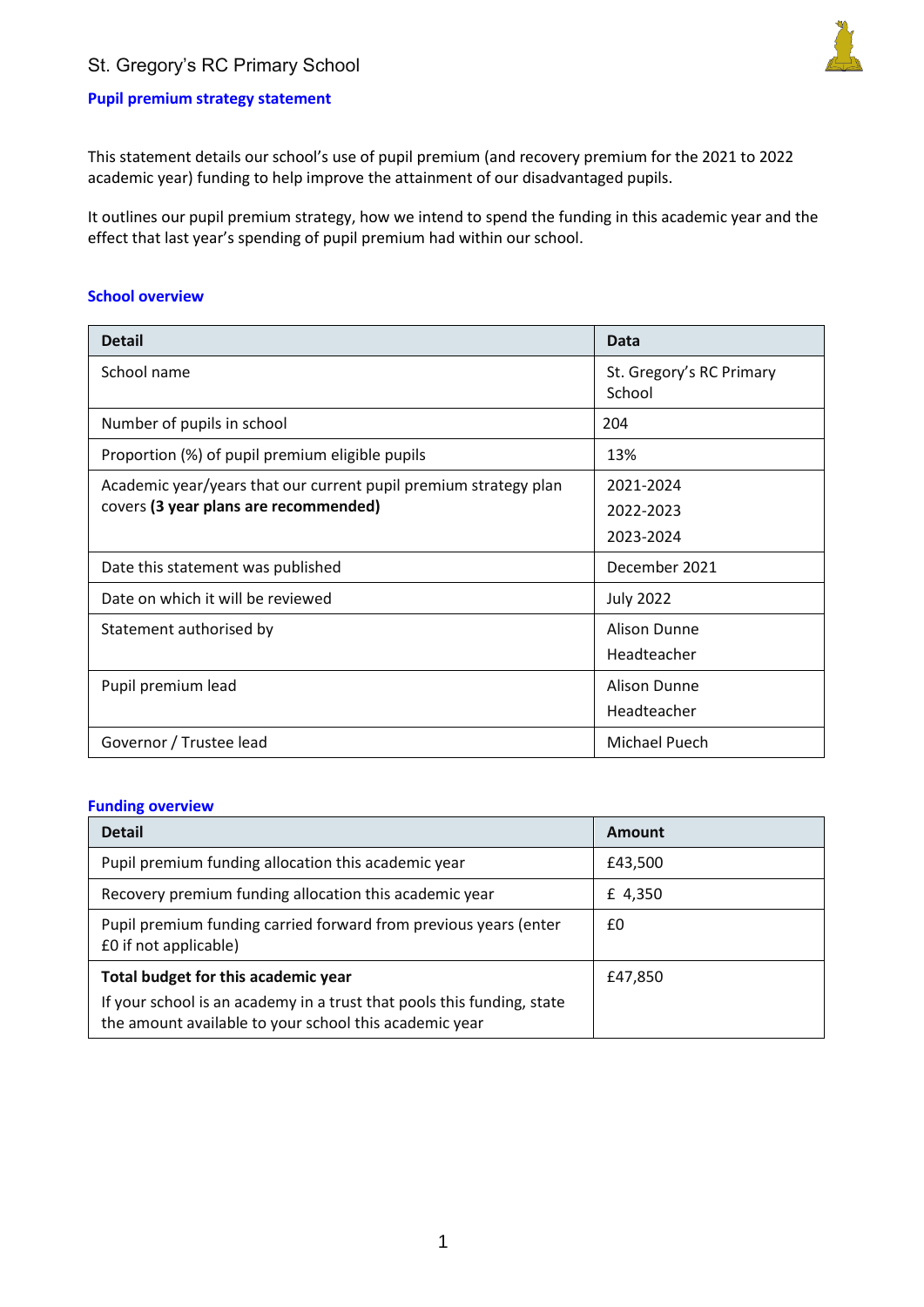## St. Gregory's RC Primary School



## **Pupil premium strategy statement**

This statement details our school's use of pupil premium (and recovery premium for the 2021 to 2022 academic year) funding to help improve the attainment of our disadvantaged pupils.

It outlines our pupil premium strategy, how we intend to spend the funding in this academic year and the effect that last year's spending of pupil premium had within our school.

#### **School overview**

| <b>Detail</b>                                                    | <b>Data</b>                        |
|------------------------------------------------------------------|------------------------------------|
| School name                                                      | St. Gregory's RC Primary<br>School |
| Number of pupils in school                                       | 204                                |
| Proportion (%) of pupil premium eligible pupils                  | 13%                                |
| Academic year/years that our current pupil premium strategy plan | 2021-2024                          |
| covers (3 year plans are recommended)                            | 2022-2023                          |
|                                                                  | 2023-2024                          |
| Date this statement was published                                | December 2021                      |
| Date on which it will be reviewed                                | <b>July 2022</b>                   |
| Statement authorised by                                          | Alison Dunne                       |
|                                                                  | Headteacher                        |
| Pupil premium lead                                               | Alison Dunne                       |
|                                                                  | Headteacher                        |
| Governor / Trustee lead                                          | <b>Michael Puech</b>               |

#### **Funding overview**

| <b>Detail</b>                                                                                                                    | Amount  |
|----------------------------------------------------------------------------------------------------------------------------------|---------|
| Pupil premium funding allocation this academic year                                                                              | £43,500 |
| Recovery premium funding allocation this academic year                                                                           | £ 4,350 |
| Pupil premium funding carried forward from previous years (enter<br>£0 if not applicable)                                        | £0      |
| Total budget for this academic year                                                                                              | £47,850 |
| If your school is an academy in a trust that pools this funding, state<br>the amount available to your school this academic year |         |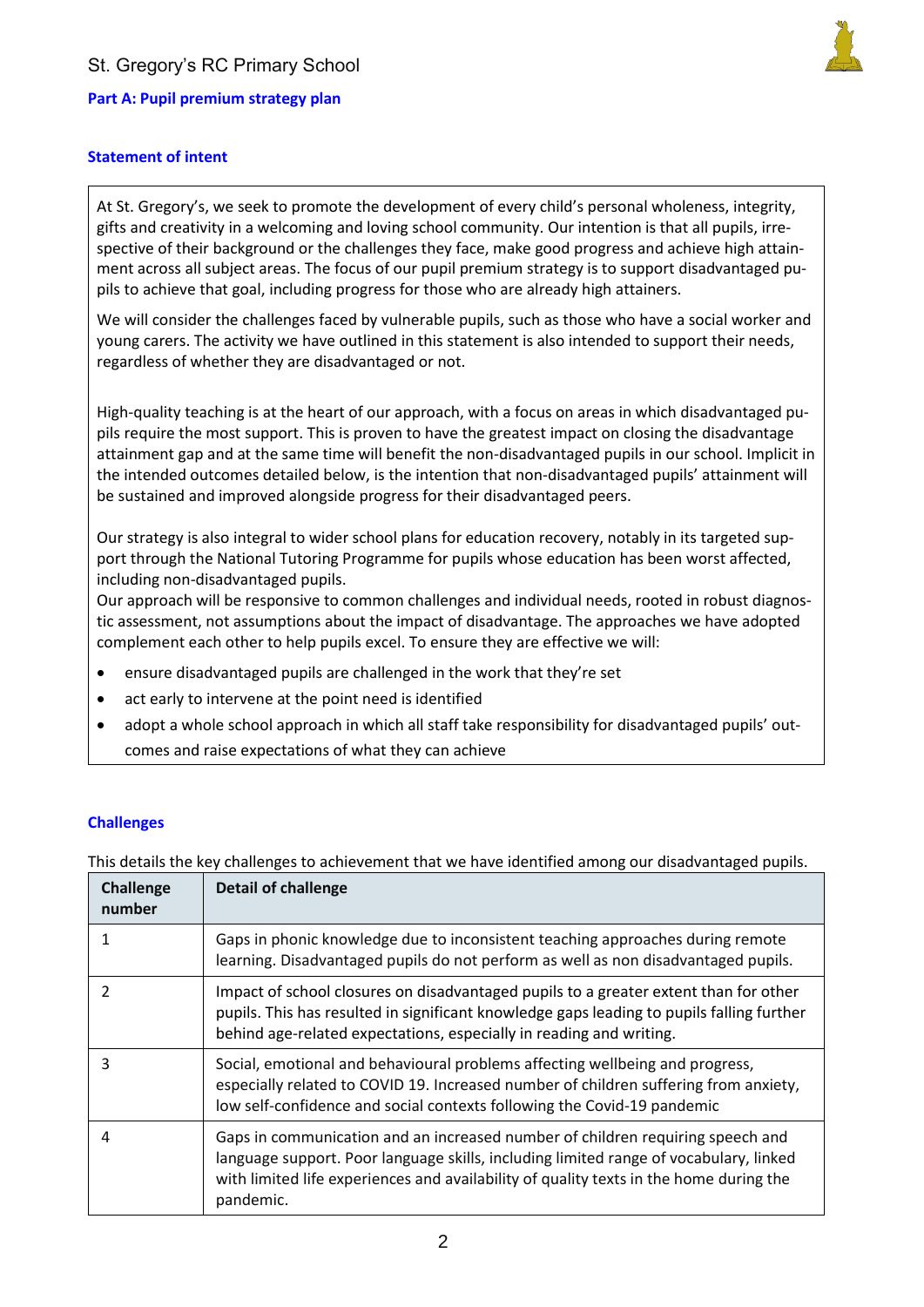## **Part A: Pupil premium strategy plan**



### **Statement of intent**

At St. Gregory's, we seek to promote the development of every child's personal wholeness, integrity, gifts and creativity in a welcoming and loving school community. Our intention is that all pupils, irrespective of their background or the challenges they face, make good progress and achieve high attainment across all subject areas. The focus of our pupil premium strategy is to support disadvantaged pupils to achieve that goal, including progress for those who are already high attainers.

We will consider the challenges faced by vulnerable pupils, such as those who have a social worker and young carers. The activity we have outlined in this statement is also intended to support their needs, regardless of whether they are disadvantaged or not.

High-quality teaching is at the heart of our approach, with a focus on areas in which disadvantaged pupils require the most support. This is proven to have the greatest impact on closing the disadvantage attainment gap and at the same time will benefit the non-disadvantaged pupils in our school. Implicit in the intended outcomes detailed below, is the intention that non-disadvantaged pupils' attainment will be sustained and improved alongside progress for their disadvantaged peers.

Our strategy is also integral to wider school plans for education recovery, notably in its targeted support through the National Tutoring Programme for pupils whose education has been worst affected, including non-disadvantaged pupils.

Our approach will be responsive to common challenges and individual needs, rooted in robust diagnostic assessment, not assumptions about the impact of disadvantage. The approaches we have adopted complement each other to help pupils excel. To ensure they are effective we will:

- ensure disadvantaged pupils are challenged in the work that they're set
- act early to intervene at the point need is identified
- adopt a whole school approach in which all staff take responsibility for disadvantaged pupils' outcomes and raise expectations of what they can achieve

### **Challenges**

This details the key challenges to achievement that we have identified among our disadvantaged pupils.

| <b>Challenge</b><br>number | <b>Detail of challenge</b>                                                                                                                                                                                                                                                     |
|----------------------------|--------------------------------------------------------------------------------------------------------------------------------------------------------------------------------------------------------------------------------------------------------------------------------|
| 1                          | Gaps in phonic knowledge due to inconsistent teaching approaches during remote<br>learning. Disadvantaged pupils do not perform as well as non disadvantaged pupils.                                                                                                           |
| $\mathfrak{p}$             | Impact of school closures on disadvantaged pupils to a greater extent than for other<br>pupils. This has resulted in significant knowledge gaps leading to pupils falling further<br>behind age-related expectations, especially in reading and writing.                       |
| 3                          | Social, emotional and behavioural problems affecting wellbeing and progress,<br>especially related to COVID 19. Increased number of children suffering from anxiety,<br>low self-confidence and social contexts following the Covid-19 pandemic                                |
| 4                          | Gaps in communication and an increased number of children requiring speech and<br>language support. Poor language skills, including limited range of vocabulary, linked<br>with limited life experiences and availability of quality texts in the home during the<br>pandemic. |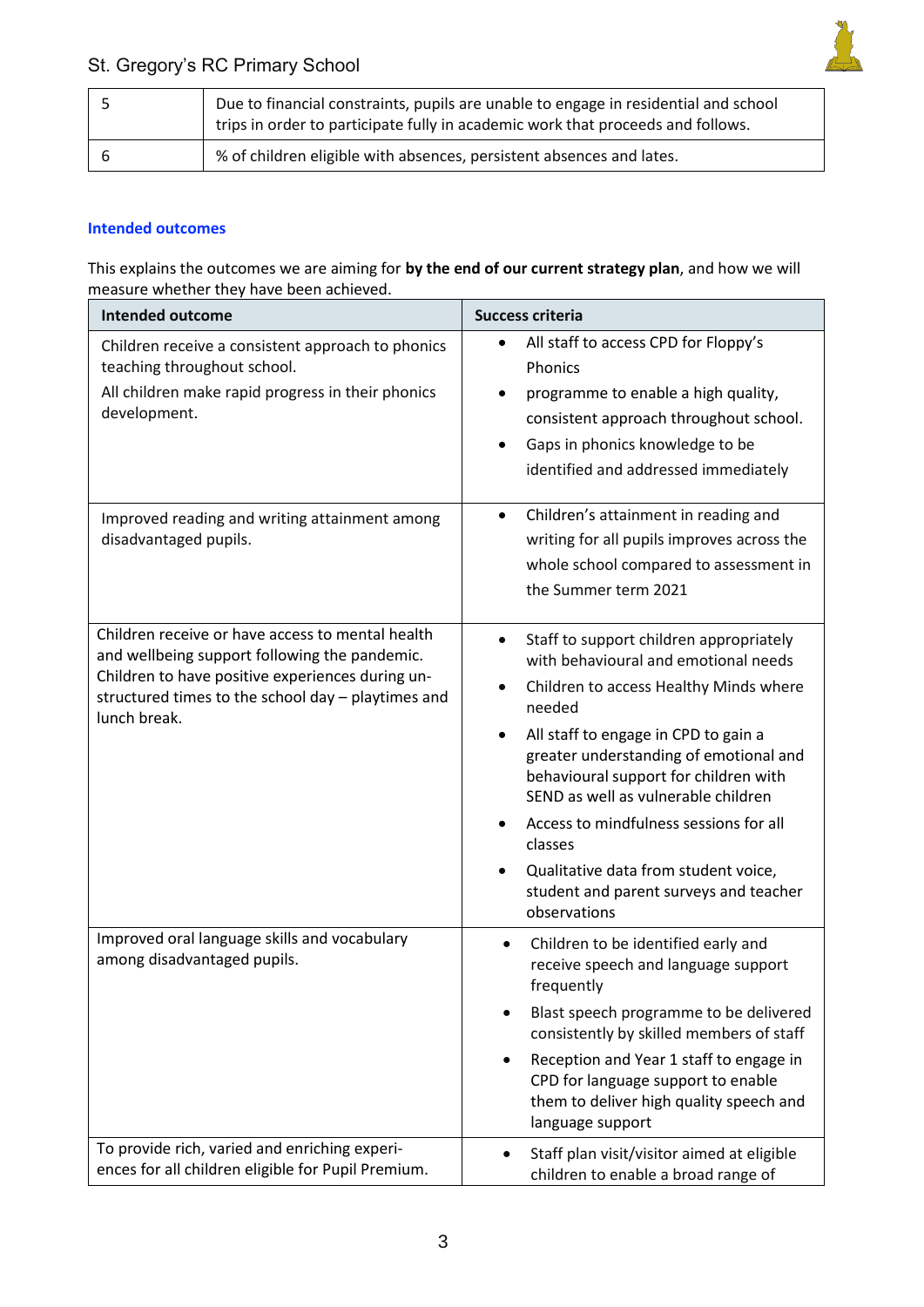

| Due to financial constraints, pupils are unable to engage in residential and school<br>trips in order to participate fully in academic work that proceeds and follows. |
|------------------------------------------------------------------------------------------------------------------------------------------------------------------------|
| % of children eligible with absences, persistent absences and lates.                                                                                                   |

### **Intended outcomes**

This explains the outcomes we are aiming for **by the end of our current strategy plan**, and how we will measure whether they have been achieved.

| <b>Intended outcome</b>                                                                                                                                                                                                     | <b>Success criteria</b>                                                                                                                                                                                                                                                                                                                                                                                                                                                        |
|-----------------------------------------------------------------------------------------------------------------------------------------------------------------------------------------------------------------------------|--------------------------------------------------------------------------------------------------------------------------------------------------------------------------------------------------------------------------------------------------------------------------------------------------------------------------------------------------------------------------------------------------------------------------------------------------------------------------------|
| Children receive a consistent approach to phonics<br>teaching throughout school.<br>All children make rapid progress in their phonics<br>development.                                                                       | All staff to access CPD for Floppy's<br>$\bullet$<br>Phonics<br>programme to enable a high quality,<br>consistent approach throughout school.<br>Gaps in phonics knowledge to be<br>identified and addressed immediately                                                                                                                                                                                                                                                       |
| Improved reading and writing attainment among<br>disadvantaged pupils.                                                                                                                                                      | Children's attainment in reading and<br>$\bullet$<br>writing for all pupils improves across the<br>whole school compared to assessment in<br>the Summer term 2021                                                                                                                                                                                                                                                                                                              |
| Children receive or have access to mental health<br>and wellbeing support following the pandemic.<br>Children to have positive experiences during un-<br>structured times to the school day - playtimes and<br>lunch break. | Staff to support children appropriately<br>with behavioural and emotional needs<br>Children to access Healthy Minds where<br>$\bullet$<br>needed<br>All staff to engage in CPD to gain a<br>٠<br>greater understanding of emotional and<br>behavioural support for children with<br>SEND as well as vulnerable children<br>Access to mindfulness sessions for all<br>classes<br>Qualitative data from student voice,<br>student and parent surveys and teacher<br>observations |
| Improved oral language skills and vocabulary<br>among disadvantaged pupils.                                                                                                                                                 | Children to be identified early and<br>$\bullet$<br>receive speech and language support<br>frequently<br>Blast speech programme to be delivered<br>consistently by skilled members of staff<br>Reception and Year 1 staff to engage in<br>CPD for language support to enable<br>them to deliver high quality speech and<br>language support                                                                                                                                    |
| To provide rich, varied and enriching experi-<br>ences for all children eligible for Pupil Premium.                                                                                                                         | Staff plan visit/visitor aimed at eligible<br>children to enable a broad range of                                                                                                                                                                                                                                                                                                                                                                                              |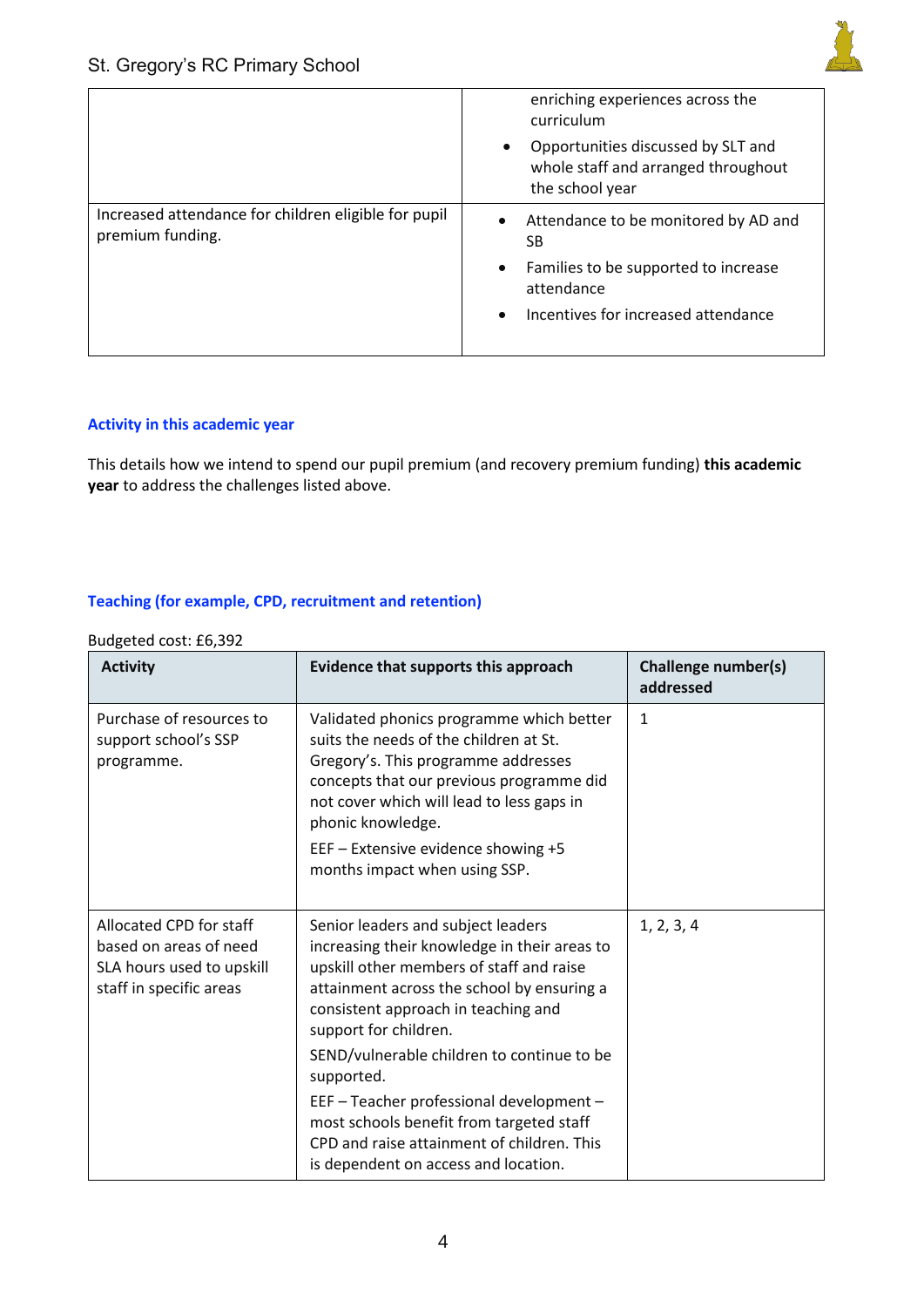

|                                                                          | enriching experiences across the<br>curriculum                                                            |
|--------------------------------------------------------------------------|-----------------------------------------------------------------------------------------------------------|
|                                                                          | Opportunities discussed by SLT and<br>$\bullet$<br>whole staff and arranged throughout<br>the school year |
| Increased attendance for children eligible for pupil<br>premium funding. | Attendance to be monitored by AD and<br>SВ                                                                |
|                                                                          | Families to be supported to increase<br>$\bullet$<br>attendance                                           |
|                                                                          | Incentives for increased attendance<br>$\bullet$                                                          |

# **Activity in this academic year**

This details how we intend to spend our pupil premium (and recovery premium funding) **this academic year** to address the challenges listed above.

## **Teaching (for example, CPD, recruitment and retention)**

#### Budgeted cost: £6,392

| <b>Activity</b>                                                                                           | Evidence that supports this approach                                                                                                                                                                                                                                                                     | Challenge number(s)<br>addressed |
|-----------------------------------------------------------------------------------------------------------|----------------------------------------------------------------------------------------------------------------------------------------------------------------------------------------------------------------------------------------------------------------------------------------------------------|----------------------------------|
| Purchase of resources to<br>support school's SSP<br>programme.                                            | Validated phonics programme which better<br>suits the needs of the children at St.<br>Gregory's. This programme addresses<br>concepts that our previous programme did<br>not cover which will lead to less gaps in<br>phonic knowledge.                                                                  | 1                                |
|                                                                                                           | EEF - Extensive evidence showing +5<br>months impact when using SSP.                                                                                                                                                                                                                                     |                                  |
| Allocated CPD for staff<br>based on areas of need<br>SLA hours used to upskill<br>staff in specific areas | Senior leaders and subject leaders<br>increasing their knowledge in their areas to<br>upskill other members of staff and raise<br>attainment across the school by ensuring a<br>consistent approach in teaching and<br>support for children.<br>SEND/vulnerable children to continue to be<br>supported. | 1, 2, 3, 4                       |
|                                                                                                           | EEF - Teacher professional development -<br>most schools benefit from targeted staff<br>CPD and raise attainment of children. This<br>is dependent on access and location.                                                                                                                               |                                  |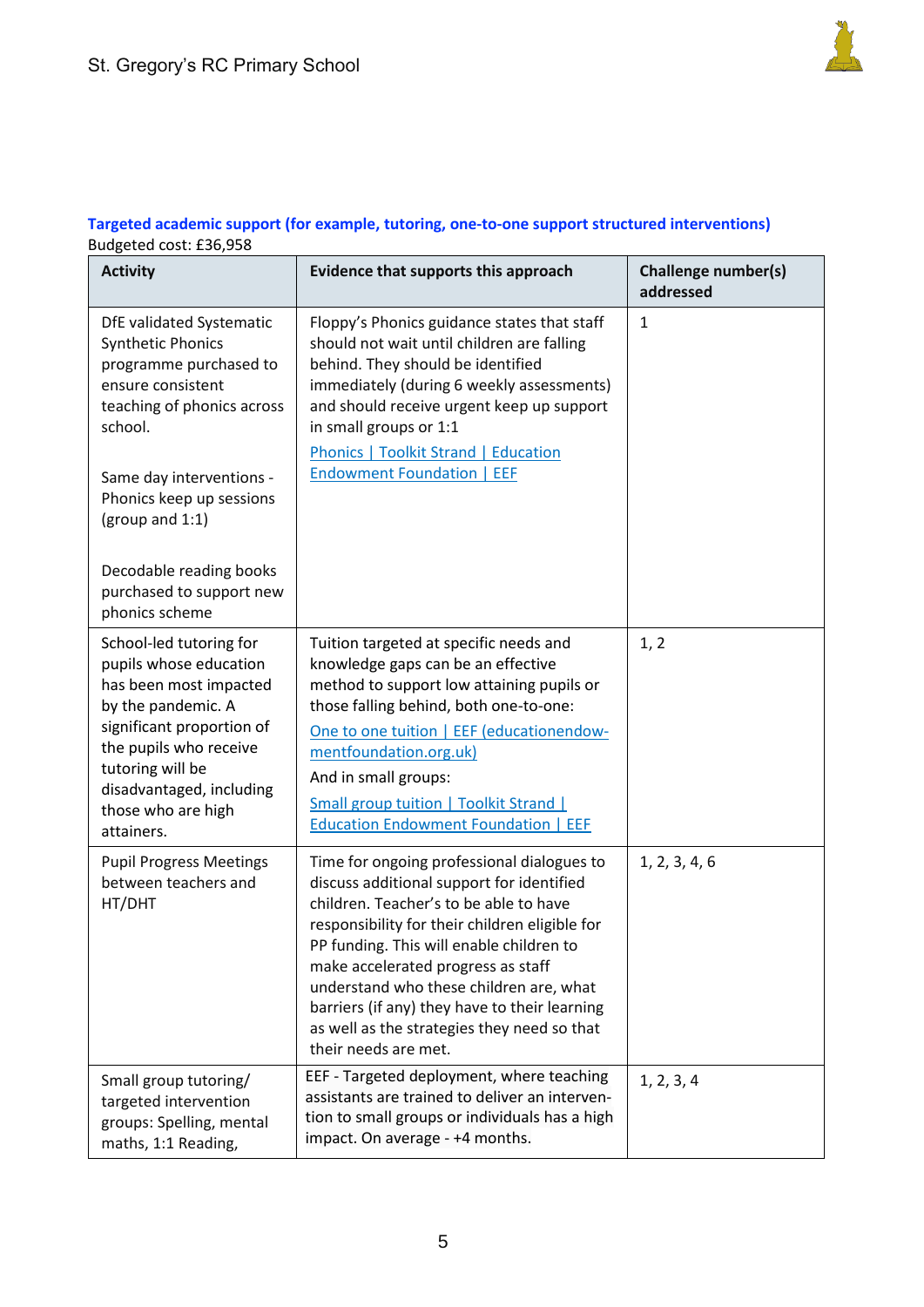

## **Targeted academic support (for example, tutoring, one-to-one support structured interventions)**  Budgeted cost: £36,958

| <b>Activity</b>                                                                                                                                                                                                                                                                                  | Evidence that supports this approach                                                                                                                                                                                                                                                                                                                                                                                                     | <b>Challenge number(s)</b><br>addressed |
|--------------------------------------------------------------------------------------------------------------------------------------------------------------------------------------------------------------------------------------------------------------------------------------------------|------------------------------------------------------------------------------------------------------------------------------------------------------------------------------------------------------------------------------------------------------------------------------------------------------------------------------------------------------------------------------------------------------------------------------------------|-----------------------------------------|
| DfE validated Systematic<br><b>Synthetic Phonics</b><br>programme purchased to<br>ensure consistent<br>teaching of phonics across<br>school.<br>Same day interventions -<br>Phonics keep up sessions<br>(group and 1:1)<br>Decodable reading books<br>purchased to support new<br>phonics scheme | Floppy's Phonics guidance states that staff<br>should not wait until children are falling<br>behind. They should be identified<br>immediately (during 6 weekly assessments)<br>and should receive urgent keep up support<br>in small groups or 1:1<br><b>Phonics   Toolkit Strand   Education</b><br><b>Endowment Foundation   EEF</b>                                                                                                   | $\mathbf{1}$                            |
| School-led tutoring for<br>pupils whose education<br>has been most impacted<br>by the pandemic. A<br>significant proportion of<br>the pupils who receive<br>tutoring will be<br>disadvantaged, including<br>those who are high<br>attainers.                                                     | Tuition targeted at specific needs and<br>knowledge gaps can be an effective<br>method to support low attaining pupils or<br>those falling behind, both one-to-one:<br>One to one tuition   EEF (educationendow-<br>mentfoundation.org.uk)<br>And in small groups:<br>Small group tuition   Toolkit Strand  <br><b>Education Endowment Foundation   EEF</b>                                                                              | 1, 2                                    |
| <b>Pupil Progress Meetings</b><br>between teachers and<br>HT/DHT                                                                                                                                                                                                                                 | Time for ongoing professional dialogues to<br>discuss additional support for identified<br>children. Teacher's to be able to have<br>responsibility for their children eligible for<br>PP funding. This will enable children to<br>make accelerated progress as staff<br>understand who these children are, what<br>barriers (if any) they have to their learning<br>as well as the strategies they need so that<br>their needs are met. | 1, 2, 3, 4, 6                           |
| Small group tutoring/<br>targeted intervention<br>groups: Spelling, mental<br>maths, 1:1 Reading,                                                                                                                                                                                                | EEF - Targeted deployment, where teaching<br>assistants are trained to deliver an interven-<br>tion to small groups or individuals has a high<br>impact. On average - +4 months.                                                                                                                                                                                                                                                         | 1, 2, 3, 4                              |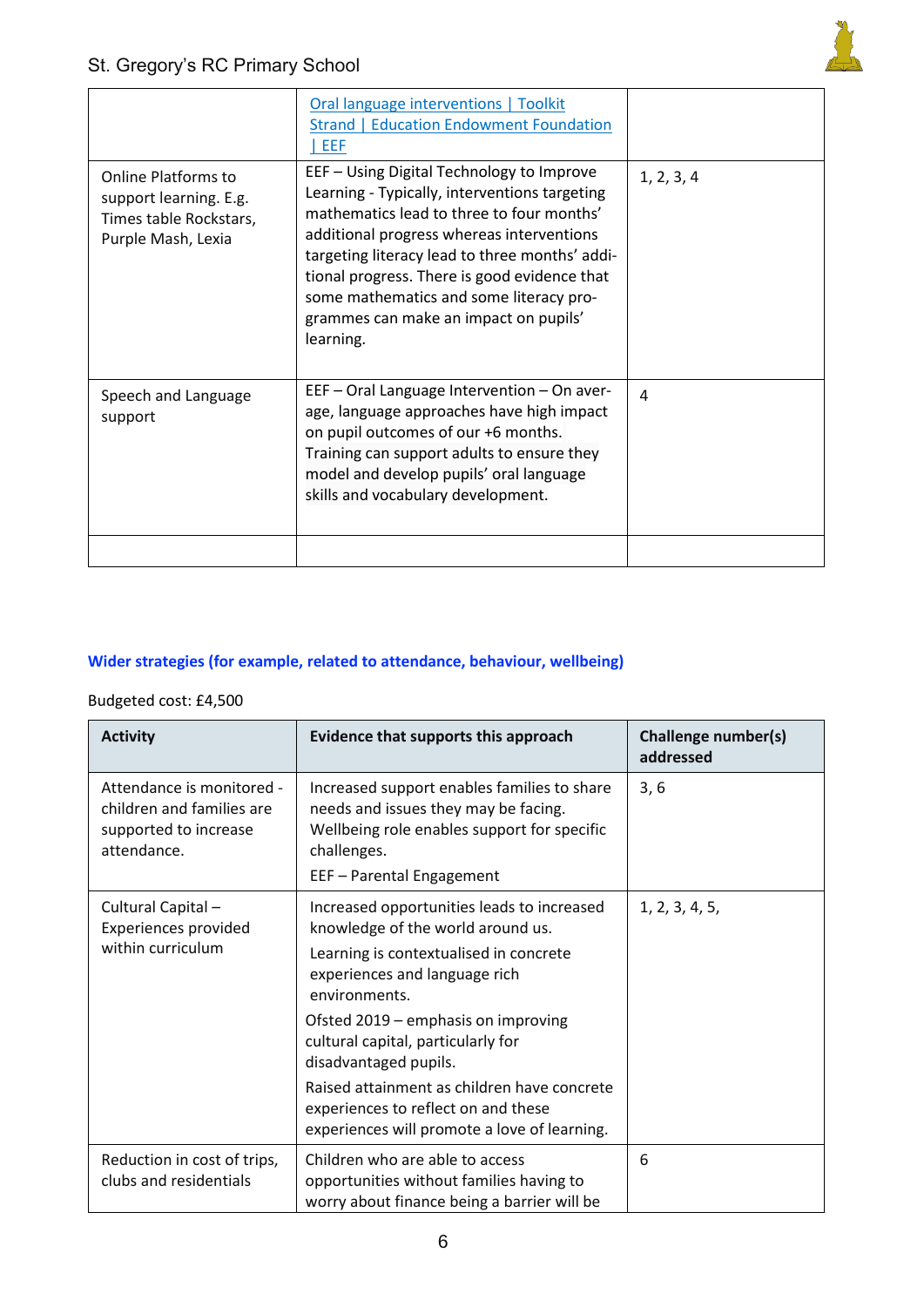|                                                                                                      | Oral language interventions   Toolkit<br><b>Strand   Education Endowment Foundation</b><br>  EEF                                                                                                                                                                                                                                                                                        |            |
|------------------------------------------------------------------------------------------------------|-----------------------------------------------------------------------------------------------------------------------------------------------------------------------------------------------------------------------------------------------------------------------------------------------------------------------------------------------------------------------------------------|------------|
| <b>Online Platforms to</b><br>support learning. E.g.<br>Times table Rockstars,<br>Purple Mash, Lexia | EEF - Using Digital Technology to Improve<br>Learning - Typically, interventions targeting<br>mathematics lead to three to four months'<br>additional progress whereas interventions<br>targeting literacy lead to three months' addi-<br>tional progress. There is good evidence that<br>some mathematics and some literacy pro-<br>grammes can make an impact on pupils'<br>learning. | 1, 2, 3, 4 |
| Speech and Language<br>support                                                                       | EEF - Oral Language Intervention - On aver-<br>age, language approaches have high impact<br>on pupil outcomes of our +6 months.<br>Training can support adults to ensure they<br>model and develop pupils' oral language<br>skills and vocabulary development.                                                                                                                          | 4          |
|                                                                                                      |                                                                                                                                                                                                                                                                                                                                                                                         |            |

## **Wider strategies (for example, related to attendance, behaviour, wellbeing)**

## Budgeted cost: £4,500

| <b>Activity</b>                                                                                | Evidence that supports this approach                                                                                                                                                                                                                                                                                                                                                                                    | Challenge number(s)<br>addressed |
|------------------------------------------------------------------------------------------------|-------------------------------------------------------------------------------------------------------------------------------------------------------------------------------------------------------------------------------------------------------------------------------------------------------------------------------------------------------------------------------------------------------------------------|----------------------------------|
| Attendance is monitored -<br>children and families are<br>supported to increase<br>attendance. | Increased support enables families to share<br>needs and issues they may be facing.<br>Wellbeing role enables support for specific<br>challenges.<br>EEF - Parental Engagement                                                                                                                                                                                                                                          | 3, 6                             |
| Cultural Capital-<br>Experiences provided<br>within curriculum                                 | Increased opportunities leads to increased<br>knowledge of the world around us.<br>Learning is contextualised in concrete<br>experiences and language rich<br>environments.<br>Ofsted 2019 - emphasis on improving<br>cultural capital, particularly for<br>disadvantaged pupils.<br>Raised attainment as children have concrete<br>experiences to reflect on and these<br>experiences will promote a love of learning. | 1, 2, 3, 4, 5,                   |
| Reduction in cost of trips,<br>clubs and residentials                                          | Children who are able to access<br>opportunities without families having to<br>worry about finance being a barrier will be                                                                                                                                                                                                                                                                                              | 6                                |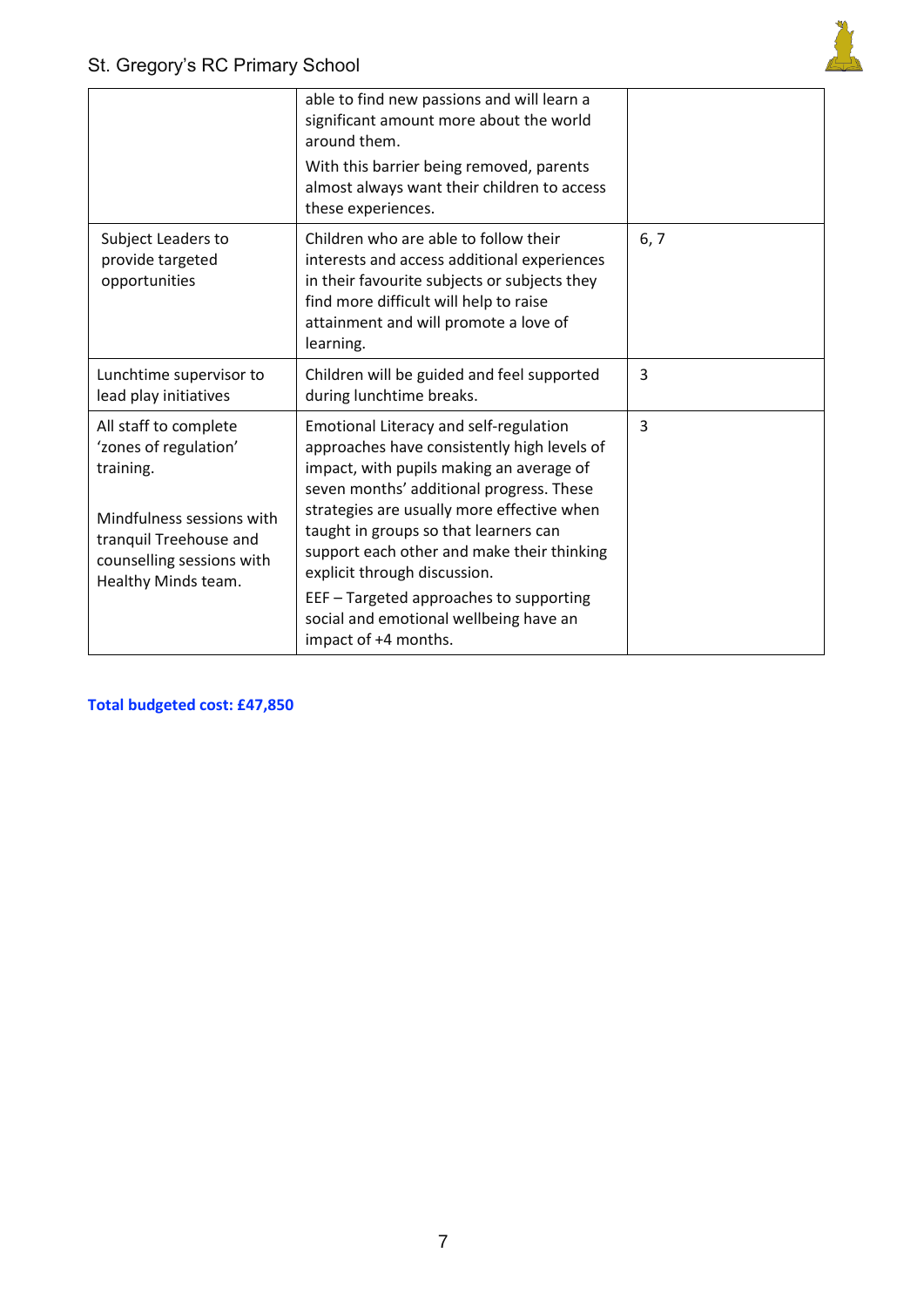

|                                                                                                                                                                        | able to find new passions and will learn a<br>significant amount more about the world<br>around them.<br>With this barrier being removed, parents<br>almost always want their children to access<br>these experiences.                                                                                                                                                                                                                                          |                |
|------------------------------------------------------------------------------------------------------------------------------------------------------------------------|-----------------------------------------------------------------------------------------------------------------------------------------------------------------------------------------------------------------------------------------------------------------------------------------------------------------------------------------------------------------------------------------------------------------------------------------------------------------|----------------|
| Subject Leaders to<br>provide targeted<br>opportunities                                                                                                                | Children who are able to follow their<br>interests and access additional experiences<br>in their favourite subjects or subjects they<br>find more difficult will help to raise<br>attainment and will promote a love of<br>learning.                                                                                                                                                                                                                            | 6, 7           |
| Lunchtime supervisor to<br>lead play initiatives                                                                                                                       | Children will be guided and feel supported<br>during lunchtime breaks.                                                                                                                                                                                                                                                                                                                                                                                          | $\overline{3}$ |
| All staff to complete<br>'zones of regulation'<br>training.<br>Mindfulness sessions with<br>tranquil Treehouse and<br>counselling sessions with<br>Healthy Minds team. | Emotional Literacy and self-regulation<br>approaches have consistently high levels of<br>impact, with pupils making an average of<br>seven months' additional progress. These<br>strategies are usually more effective when<br>taught in groups so that learners can<br>support each other and make their thinking<br>explicit through discussion.<br>EEF - Targeted approaches to supporting<br>social and emotional wellbeing have an<br>impact of +4 months. | $\overline{3}$ |

**Total budgeted cost: £47,850**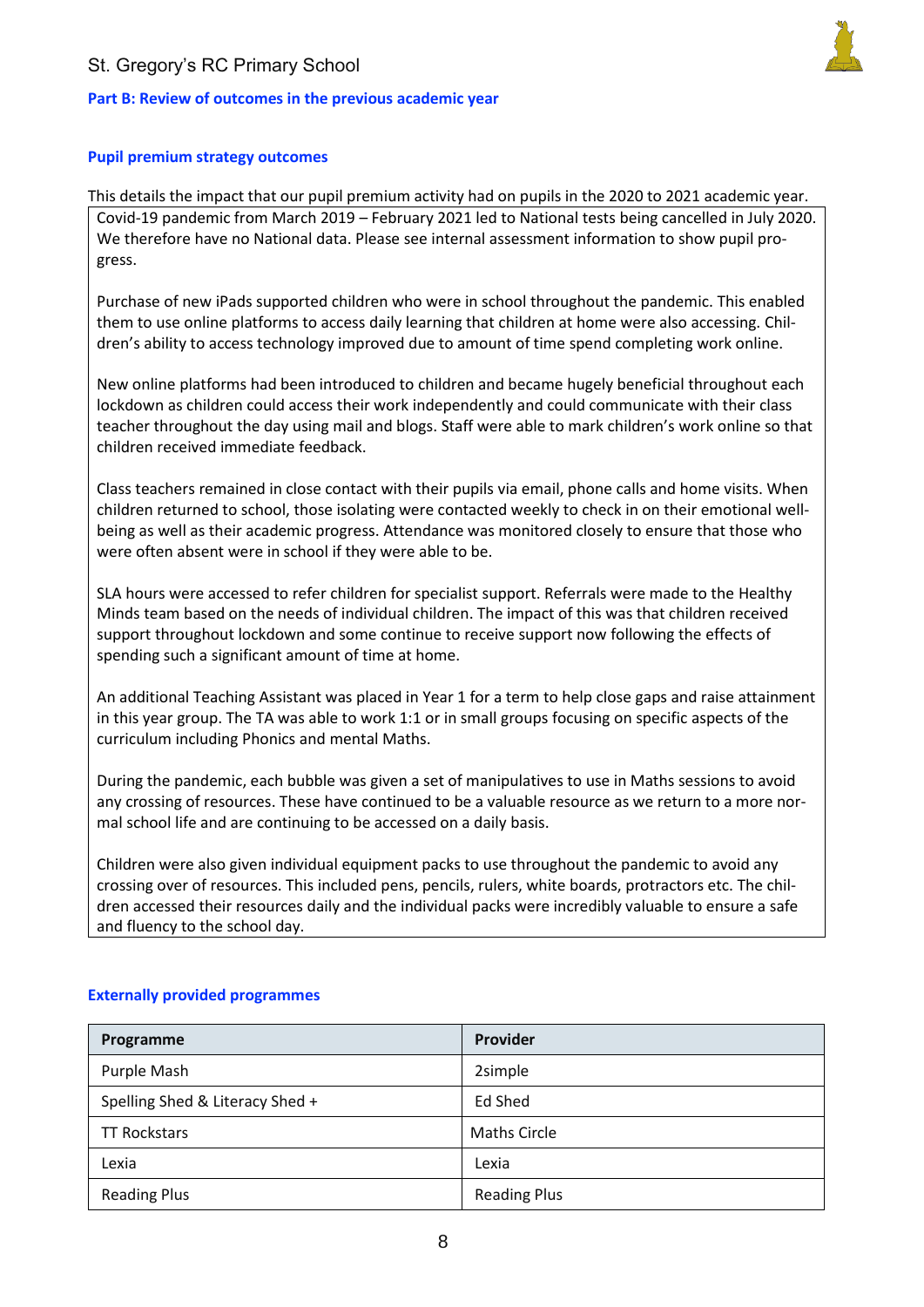## St. Gregory's RC Primary School

### **Part B: Review of outcomes in the previous academic year**



#### **Pupil premium strategy outcomes**

This details the impact that our pupil premium activity had on pupils in the 2020 to 2021 academic year. Covid-19 pandemic from March 2019 – February 2021 led to National tests being cancelled in July 2020. We therefore have no National data. Please see internal assessment information to show pupil progress.

Purchase of new iPads supported children who were in school throughout the pandemic. This enabled them to use online platforms to access daily learning that children at home were also accessing. Children's ability to access technology improved due to amount of time spend completing work online.

New online platforms had been introduced to children and became hugely beneficial throughout each lockdown as children could access their work independently and could communicate with their class teacher throughout the day using mail and blogs. Staff were able to mark children's work online so that children received immediate feedback.

Class teachers remained in close contact with their pupils via email, phone calls and home visits. When children returned to school, those isolating were contacted weekly to check in on their emotional wellbeing as well as their academic progress. Attendance was monitored closely to ensure that those who were often absent were in school if they were able to be.

SLA hours were accessed to refer children for specialist support. Referrals were made to the Healthy Minds team based on the needs of individual children. The impact of this was that children received support throughout lockdown and some continue to receive support now following the effects of spending such a significant amount of time at home.

An additional Teaching Assistant was placed in Year 1 for a term to help close gaps and raise attainment in this year group. The TA was able to work 1:1 or in small groups focusing on specific aspects of the curriculum including Phonics and mental Maths.

During the pandemic, each bubble was given a set of manipulatives to use in Maths sessions to avoid any crossing of resources. These have continued to be a valuable resource as we return to a more normal school life and are continuing to be accessed on a daily basis.

Children were also given individual equipment packs to use throughout the pandemic to avoid any crossing over of resources. This included pens, pencils, rulers, white boards, protractors etc. The children accessed their resources daily and the individual packs were incredibly valuable to ensure a safe and fluency to the school day.

| Programme                       | Provider            |
|---------------------------------|---------------------|
| Purple Mash                     | 2simple             |
| Spelling Shed & Literacy Shed + | Ed Shed             |
| <b>TT Rockstars</b>             | <b>Maths Circle</b> |
| Lexia                           | Lexia               |
| <b>Reading Plus</b>             | <b>Reading Plus</b> |

### **Externally provided programmes**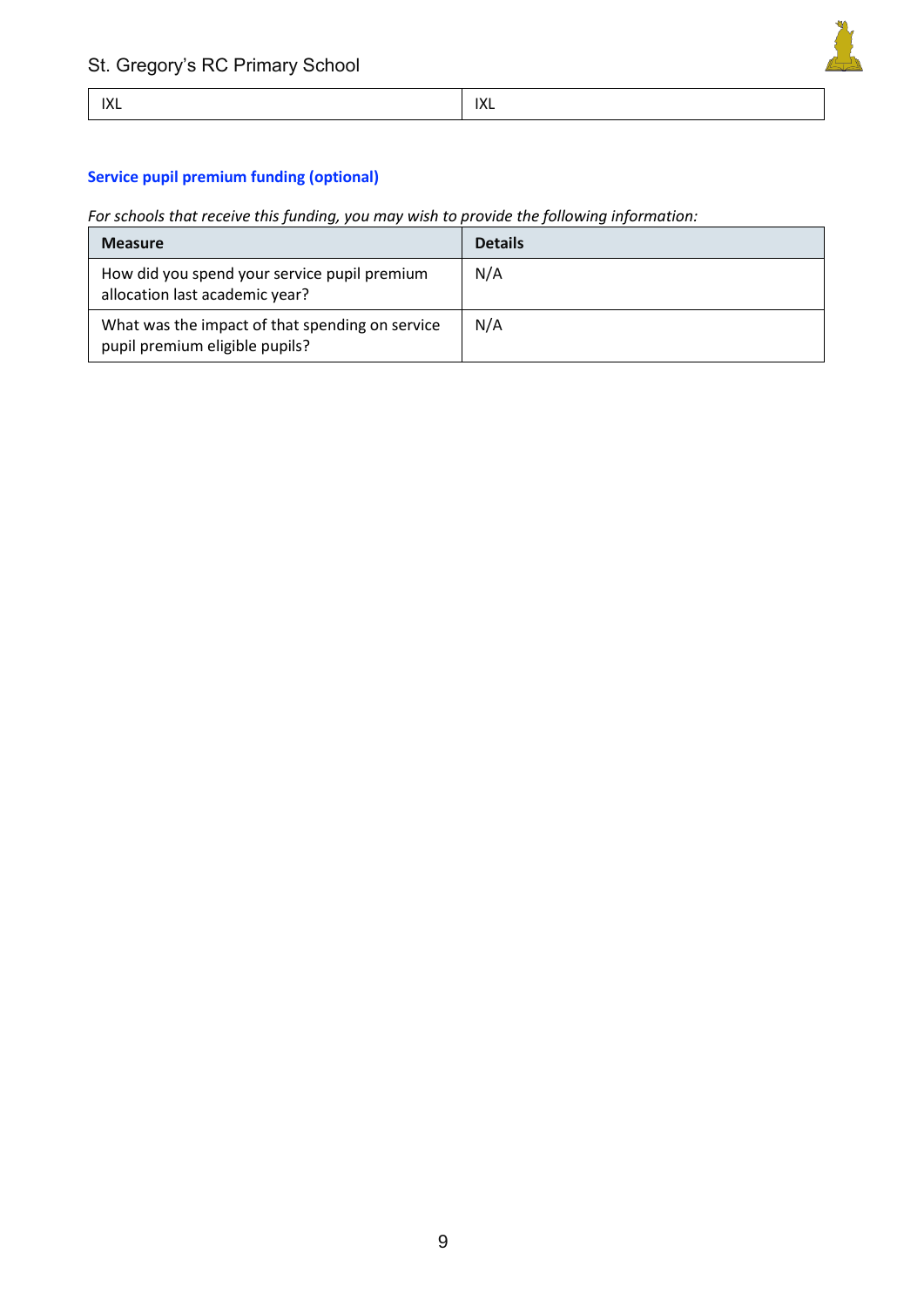

## **Service pupil premium funding (optional)**

*For schools that receive this funding, you may wish to provide the following information:* 

| <b>Measure</b>                                                                    | <b>Details</b> |
|-----------------------------------------------------------------------------------|----------------|
| How did you spend your service pupil premium<br>allocation last academic year?    | N/A            |
| What was the impact of that spending on service<br>pupil premium eligible pupils? | N/A            |